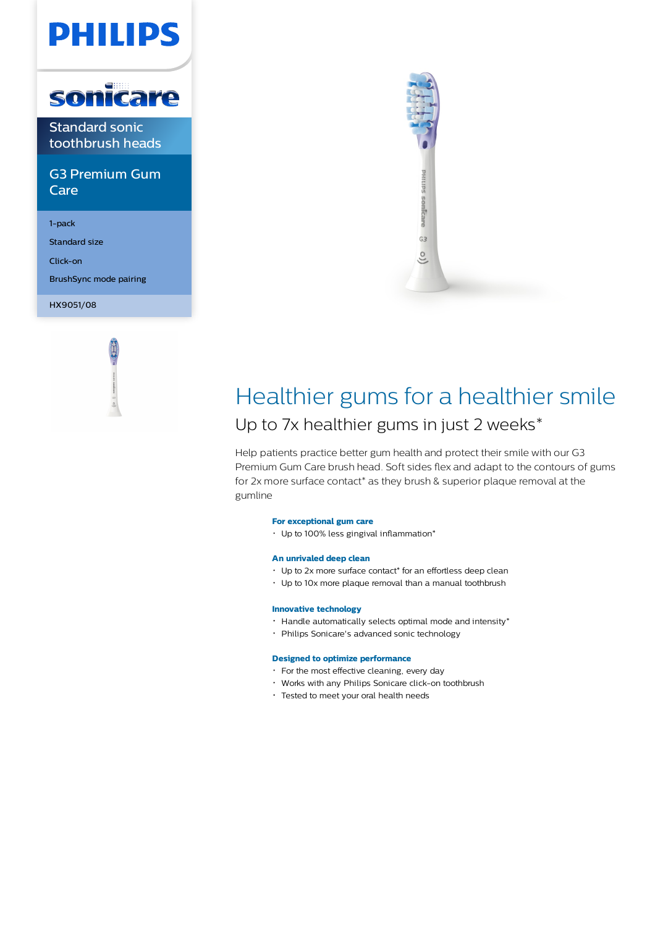# **PHILIPS**



Standard sonic toothbrush heads

G3 Premium Gum Care

1-pack

Standard size

Click-on

BrushSync mode pairing

HX9051/08





# Healthier gums for a healthier smile Up to 7x healthier gums in just 2 weeks\*

Help patients practice better gum health and protect their smile with our G3 Premium Gum Care brush head. Soft sides flex and adapt to the contours of gums for 2x more surface contact\* as they brush & superior plaque removal at the gumline

### **For exceptional gum care**

 $\cdot$  Up to 100% less gingival inflammation\*

# **An unrivaled deep clean**

- Up to 2x more surface contact\* for an effortless deep clean
- Up to 10x more plaque removal than a manual toothbrush

# **Innovative technology**

- $\cdot$  Handle automatically selects optimal mode and intensity\*
- Philips Sonicare's advanced sonic technology

# **Designed to optimize performance**

- For the most effective cleaning, every day
- Works with any Philips Sonicare click-on toothbrush
- Tested to meet your oral health needs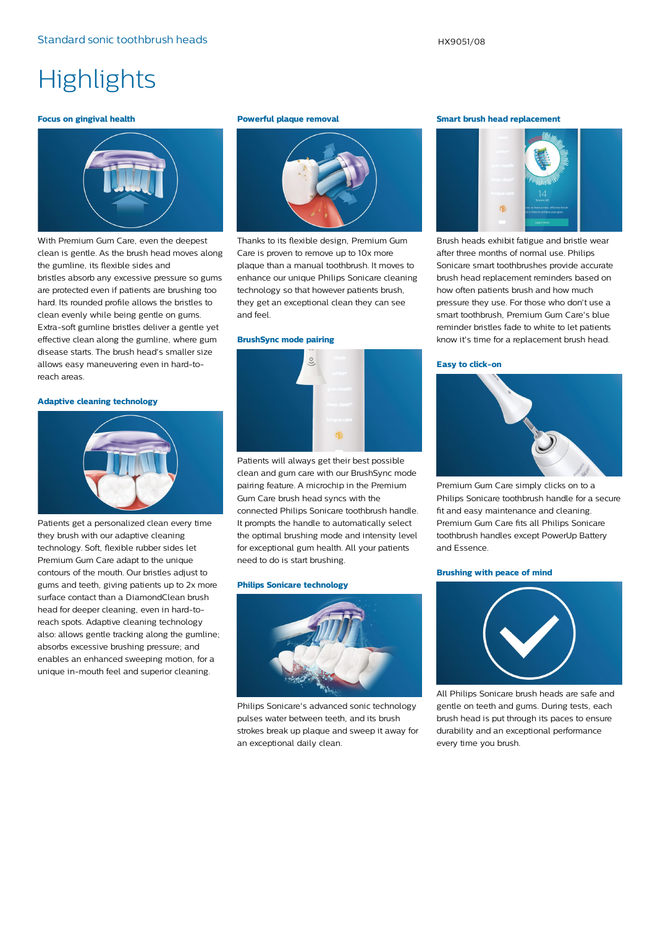# **Highlights**

#### **Focus on gingival health**



With Premium Gum Care, even the deepest clean is gentle. As the brush head moves along the gumline, its flexible sides and bristles absorb any excessive pressure so gums are protected even if patients are brushing too hard. Its rounded profile allows the bristles to clean evenly while being gentle on gums. Extra-soft gumline bristles deliver a gentle yet effective clean along the gumline, where gum disease starts. The brush head's smaller size allows easy maneuvering even in hard-toreach areas.

#### **Adaptive cleaning technology**



Patients get a personalized clean every time they brush with our adaptive cleaning technology. Soft, flexible rubber sides let Premium Gum Care adapt to the unique contours of the mouth. Our bristles adjust to gums and teeth, giving patients up to 2x more surface contact than a DiamondClean brush head for deeper cleaning, even in hard-toreach spots. Adaptive cleaning technology also: allows gentle tracking along the gumline; absorbs excessive brushing pressure; and enables an enhanced sweeping motion, for a unique in-mouth feel and superior cleaning.

#### **Powerful plaque removal**



Thanks to its flexible design, Premium Gum Care is proven to remove up to 10x more plaque than a manual toothbrush. It moves to enhance our unique Philips Sonicare cleaning technology so that however patients brush, they get an exceptional clean they can see and feel.

#### **BrushSync mode pairing**



Patients will always get their best possible clean and gum care with our BrushSync mode pairing feature. A microchip in the Premium Gum Care brush head syncs with the connected Philips Sonicare toothbrush handle. It prompts the handle to automatically select the optimal brushing mode and intensity level for exceptional gum health. All your patients need to do is start brushing.

#### **Philips Sonicare technology**



Philips Sonicare's advanced sonic technology pulses water between teeth, and its brush strokes break up plaque and sweep it away for an exceptional daily clean.

#### **Smart brush head replacement**



Brush heads exhibit fatigue and bristle wear after three months of normal use. Philips Sonicare smart toothbrushes provide accurate brush head replacement reminders based on how often patients brush and how much pressure they use. For those who don't use a smart toothbrush, Premium Gum Care's blue reminder bristles fade to white to let patients know it's time for a replacement brush head.

### **Easy to click-on**



Premium Gum Care simply clicks on to a Philips Sonicare toothbrush handle for a secure fit and easy maintenance and cleaning. Premium Gum Care fits all Philips Sonicare toothbrush handles except PowerUp Battery and Essence.

# **Brushing with peace of mind**



All Philips Sonicare brush heads are safe and gentle on teeth and gums. During tests, each brush head is put through its paces to ensure durability and an exceptional performance every time you brush.